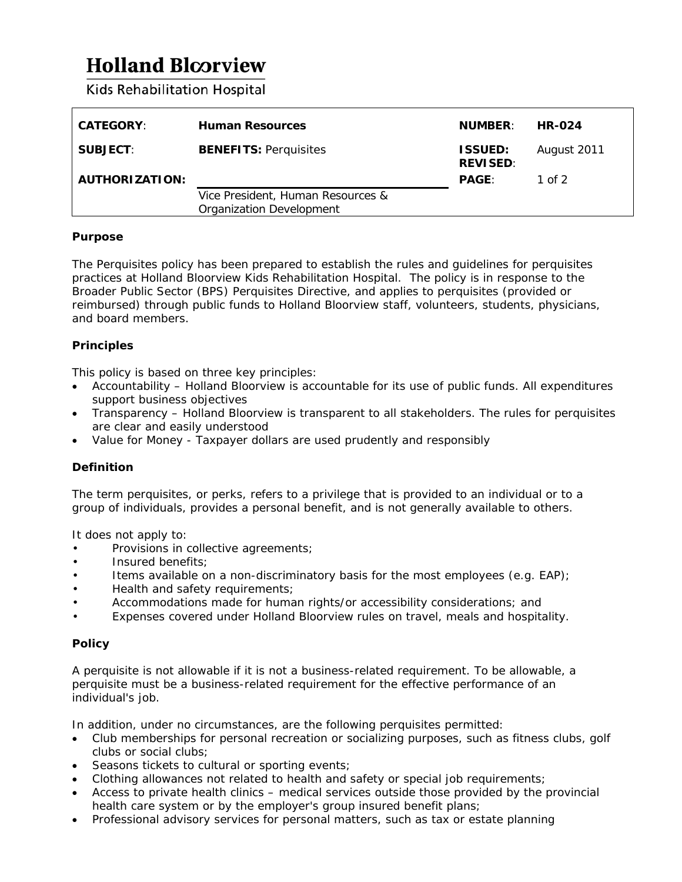# **Holland Bloorview**

**Kids Rehabilitation Hospital** 

| <b>CATEGORY:</b> | <b>Human Resources</b>                                               | <b>NUMBER:</b>                    | <b>HR-024</b> |
|------------------|----------------------------------------------------------------------|-----------------------------------|---------------|
| <b>SUBJECT:</b>  | <b>BENEFITS: Perquisites</b>                                         | <b>ISSUED:</b><br><b>REVISED:</b> | August 2011   |
| AUTHORIZATION:   |                                                                      | <b>PAGE:</b>                      | 1 of 2        |
|                  | Vice President, Human Resources &<br><b>Organization Development</b> |                                   |               |

### **Purpose**

The Perquisites policy has been prepared to establish the rules and guidelines for perquisites practices at Holland Bloorview Kids Rehabilitation Hospital. The policy is in response to the Broader Public Sector (BPS) Perquisites Directive, and applies to perquisites (provided or reimbursed) through public funds to Holland Bloorview staff, volunteers, students, physicians, and board members.

# **Principles**

This policy is based on three key principles:

- Accountability Holland Bloorview is accountable for its use of public funds. All expenditures support business objectives
- Transparency Holland Bloorview is transparent to all stakeholders. The rules for perquisites are clear and easily understood
- Value for Money Taxpayer dollars are used prudently and responsibly

# **Definition**

The term perquisites, or perks, refers to a privilege that is provided to an individual or to a group of individuals, provides a personal benefit, and is not generally available to others.

It does not apply to:

- Provisions in collective agreements;
- Insured benefits;
- Items available on a non-discriminatory basis for the most employees (e.g. EAP);
- Health and safety requirements;
- Accommodations made for human rights/or accessibility considerations; and
- Expenses covered under Holland Bloorview rules on travel, meals and hospitality.

# **Policy**

A perquisite is not allowable if it is not a business-related requirement. To be allowable, a perquisite must be a business-related requirement for the effective performance of an individual's job.

In addition, under no circumstances, are the following perquisites permitted:

- Club memberships for personal recreation or socializing purposes, such as fitness clubs, golf clubs or social clubs;
- Seasons tickets to cultural or sporting events;
- Clothing allowances not related to health and safety or special job requirements;
- Access to private health clinics medical services outside those provided by the provincial health care system or by the employer's group insured benefit plans;
- Professional advisory services for personal matters, such as tax or estate planning